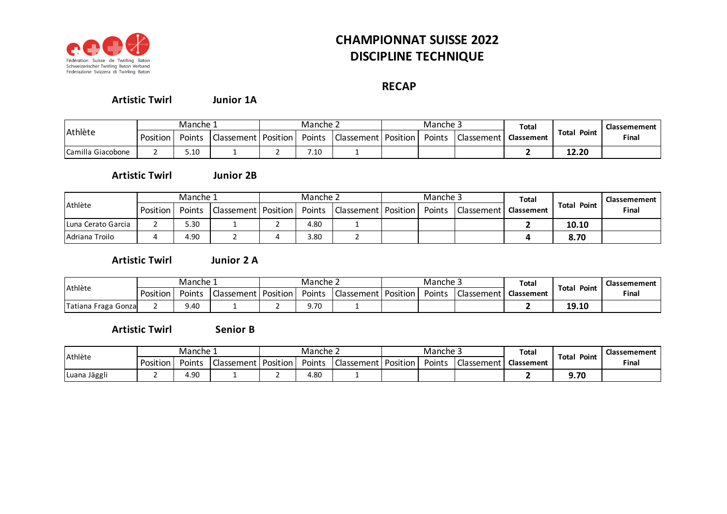

## **CHAMPIONNAT SUISSE 2022 DISCIPLINE TECHNIQUE**

## **RECAP**

**Junior 1A Artistic Twirl**

|                   | Manche ⊥ |        |                       | Manche ∠ |        |                            | Manche <sub>-</sub> |        |            | Total      |                       | Classemement |
|-------------------|----------|--------|-----------------------|----------|--------|----------------------------|---------------------|--------|------------|------------|-----------------------|--------------|
| Athlète           | Position | Points | Classement   Position |          | Points | <b>Classement Position</b> |                     | Points | Classement | Classement | Point<br><b>Total</b> | Final        |
| Camilla Giacobone |          | 5.10   |                       |          | 7.10   |                            |                     |        |            |            | 12.20                 |              |

**Junior 2B Artistic Twirl**

|                    | Manche 1 |        |                       | Manche 2 |      |                                | Manche 3 |        |                   | <b>Total</b> |                    | Classemement |
|--------------------|----------|--------|-----------------------|----------|------|--------------------------------|----------|--------|-------------------|--------------|--------------------|--------------|
| Athlète            | Position | Points | Classement   Position |          |      | Points   Classement   Position |          | Points | <b>Classement</b> | Classement   | <b>Total Point</b> | Final        |
| Luna Cerato Garcia |          | 5.30   |                       |          | 4.80 |                                |          |        |                   |              | 10.10              |              |
| Adriana Troilo     |          | 4.90   |                       |          | 3.80 |                                |          |        |                   |              | 8.70               |              |

**Artistic Twirl**

**Junior 2 A**

| Athlète             | نـ Manche |        |                       | Manche ∠ |        |                   | Manche <sub>-</sub> |        |            | <b>Total</b> |                | Classemement |
|---------------------|-----------|--------|-----------------------|----------|--------|-------------------|---------------------|--------|------------|--------------|----------------|--------------|
|                     | Position  | Points | Classement   Position |          | Points | <b>Classement</b> | <b>Position</b>     | Points | Classement | Classement   | Total<br>Point | Final        |
| Tatiana Fraga Gonza |           | 9.40   |                       |          | 9.70   |                   |                     |        |            |              | 19.10          |              |

**Senior B Artistic Twirl**

| Athlète      | Manche 1 |        |                       | Manche 2 |        |                       | Manche 5 |        |                   | <b>Total</b> |                | Classemement |
|--------------|----------|--------|-----------------------|----------|--------|-----------------------|----------|--------|-------------------|--------------|----------------|--------------|
|              | Position | Points | Classement   Position |          | Points | Classement   Position |          | Points | <b>Classement</b> | Classement   | Total<br>Point | Final        |
| Luana Jäggli |          | 4.9C   |                       |          | 4.80   |                       |          |        |                   |              | 0. 7C<br>J./U  |              |